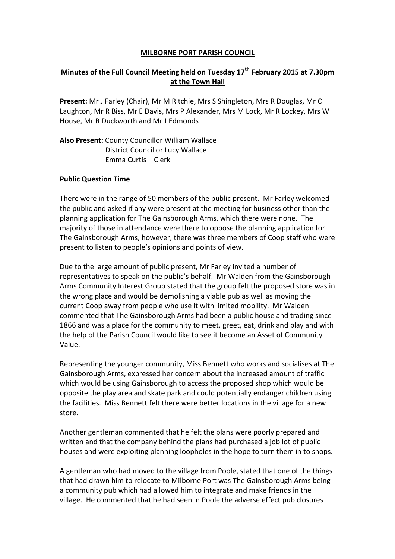### MILBORNE PORT PARISH COUNCIL

# Minutes of the Full Council Meeting held on Tuesday  $17<sup>th</sup>$  February 2015 at 7.30pm at the Town Hall

Present: Mr J Farley (Chair), Mr M Ritchie, Mrs S Shingleton, Mrs R Douglas, Mr C Laughton, Mr R Biss, Mr E Davis, Mrs P Alexander, Mrs M Lock, Mr R Lockey, Mrs W House, Mr R Duckworth and Mr J Edmonds

Also Present: County Councillor William Wallace District Councillor Lucy Wallace Emma Curtis – Clerk

#### Public Question Time

There were in the range of 50 members of the public present. Mr Farley welcomed the public and asked if any were present at the meeting for business other than the planning application for The Gainsborough Arms, which there were none. The majority of those in attendance were there to oppose the planning application for The Gainsborough Arms, however, there was three members of Coop staff who were present to listen to people's opinions and points of view.

Due to the large amount of public present, Mr Farley invited a number of representatives to speak on the public's behalf. Mr Walden from the Gainsborough Arms Community Interest Group stated that the group felt the proposed store was in the wrong place and would be demolishing a viable pub as well as moving the current Coop away from people who use it with limited mobility. Mr Walden commented that The Gainsborough Arms had been a public house and trading since 1866 and was a place for the community to meet, greet, eat, drink and play and with the help of the Parish Council would like to see it become an Asset of Community Value.

Representing the younger community, Miss Bennett who works and socialises at The Gainsborough Arms, expressed her concern about the increased amount of traffic which would be using Gainsborough to access the proposed shop which would be opposite the play area and skate park and could potentially endanger children using the facilities. Miss Bennett felt there were better locations in the village for a new store.

Another gentleman commented that he felt the plans were poorly prepared and written and that the company behind the plans had purchased a job lot of public houses and were exploiting planning loopholes in the hope to turn them in to shops.

A gentleman who had moved to the village from Poole, stated that one of the things that had drawn him to relocate to Milborne Port was The Gainsborough Arms being a community pub which had allowed him to integrate and make friends in the village. He commented that he had seen in Poole the adverse effect pub closures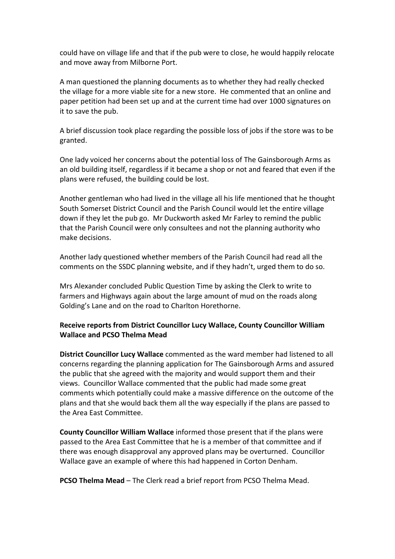could have on village life and that if the pub were to close, he would happily relocate and move away from Milborne Port.

A man questioned the planning documents as to whether they had really checked the village for a more viable site for a new store. He commented that an online and paper petition had been set up and at the current time had over 1000 signatures on it to save the pub.

A brief discussion took place regarding the possible loss of jobs if the store was to be granted.

One lady voiced her concerns about the potential loss of The Gainsborough Arms as an old building itself, regardless if it became a shop or not and feared that even if the plans were refused, the building could be lost.

Another gentleman who had lived in the village all his life mentioned that he thought South Somerset District Council and the Parish Council would let the entire village down if they let the pub go. Mr Duckworth asked Mr Farley to remind the public that the Parish Council were only consultees and not the planning authority who make decisions.

Another lady questioned whether members of the Parish Council had read all the comments on the SSDC planning website, and if they hadn't, urged them to do so.

Mrs Alexander concluded Public Question Time by asking the Clerk to write to farmers and Highways again about the large amount of mud on the roads along Golding's Lane and on the road to Charlton Horethorne.

## Receive reports from District Councillor Lucy Wallace, County Councillor William Wallace and PCSO Thelma Mead

District Councillor Lucy Wallace commented as the ward member had listened to all concerns regarding the planning application for The Gainsborough Arms and assured the public that she agreed with the majority and would support them and their views. Councillor Wallace commented that the public had made some great comments which potentially could make a massive difference on the outcome of the plans and that she would back them all the way especially if the plans are passed to the Area East Committee.

County Councillor William Wallace informed those present that if the plans were passed to the Area East Committee that he is a member of that committee and if there was enough disapproval any approved plans may be overturned. Councillor Wallace gave an example of where this had happened in Corton Denham.

PCSO Thelma Mead – The Clerk read a brief report from PCSO Thelma Mead.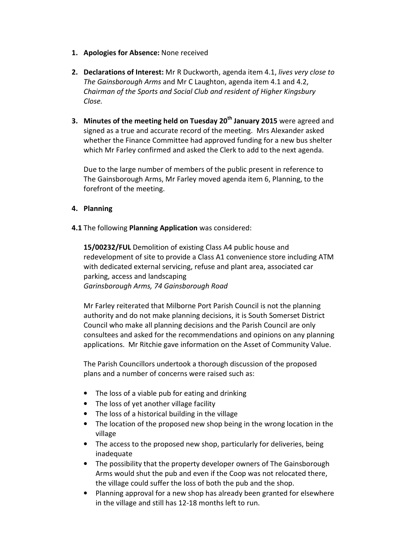- 1. Apologies for Absence: None received
- 2. Declarations of Interest: Mr R Duckworth, agenda item 4.1, lives very close to The Gainsborough Arms and Mr C Laughton, agenda item 4.1 and 4.2, Chairman of the Sports and Social Club and resident of Higher Kingsbury Close.
- 3. Minutes of the meeting held on Tuesday  $20<sup>th</sup>$  January 2015 were agreed and signed as a true and accurate record of the meeting. Mrs Alexander asked whether the Finance Committee had approved funding for a new bus shelter which Mr Farley confirmed and asked the Clerk to add to the next agenda.

Due to the large number of members of the public present in reference to The Gainsborough Arms, Mr Farley moved agenda item 6, Planning, to the forefront of the meeting.

## 4. Planning

### 4.1 The following Planning Application was considered:

15/00232/FUL Demolition of existing Class A4 public house and redevelopment of site to provide a Class A1 convenience store including ATM with dedicated external servicing, refuse and plant area, associated car parking, access and landscaping Garinsborough Arms, 74 Gainsborough Road

Mr Farley reiterated that Milborne Port Parish Council is not the planning authority and do not make planning decisions, it is South Somerset District Council who make all planning decisions and the Parish Council are only consultees and asked for the recommendations and opinions on any planning applications. Mr Ritchie gave information on the Asset of Community Value.

 The Parish Councillors undertook a thorough discussion of the proposed plans and a number of concerns were raised such as:

- The loss of a viable pub for eating and drinking
- The loss of yet another village facility
- The loss of a historical building in the village
- The location of the proposed new shop being in the wrong location in the village
- The access to the proposed new shop, particularly for deliveries, being inadequate
- The possibility that the property developer owners of The Gainsborough Arms would shut the pub and even if the Coop was not relocated there, the village could suffer the loss of both the pub and the shop.
- Planning approval for a new shop has already been granted for elsewhere in the village and still has 12-18 months left to run.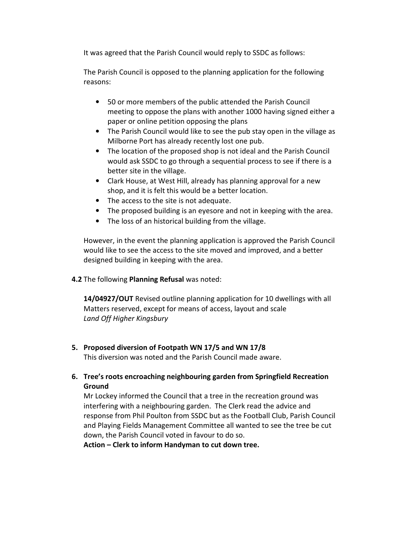It was agreed that the Parish Council would reply to SSDC as follows:

The Parish Council is opposed to the planning application for the following reasons:

- 50 or more members of the public attended the Parish Council meeting to oppose the plans with another 1000 having signed either a paper or online petition opposing the plans
- The Parish Council would like to see the pub stay open in the village as Milborne Port has already recently lost one pub.
- The location of the proposed shop is not ideal and the Parish Council would ask SSDC to go through a sequential process to see if there is a better site in the village.
- Clark House, at West Hill, already has planning approval for a new shop, and it is felt this would be a better location.
- The access to the site is not adequate.
- The proposed building is an eyesore and not in keeping with the area.
- The loss of an historical building from the village.

However, in the event the planning application is approved the Parish Council would like to see the access to the site moved and improved, and a better designed building in keeping with the area.

4.2 The following Planning Refusal was noted:

14/04927/OUT Revised outline planning application for 10 dwellings with all Matters reserved, except for means of access, layout and scale Land Off Higher Kingsbury

5. Proposed diversion of Footpath WN 17/5 and WN 17/8

This diversion was noted and the Parish Council made aware.

6. Tree's roots encroaching neighbouring garden from Springfield Recreation Ground

Mr Lockey informed the Council that a tree in the recreation ground was interfering with a neighbouring garden. The Clerk read the advice and response from Phil Poulton from SSDC but as the Football Club, Parish Council and Playing Fields Management Committee all wanted to see the tree be cut down, the Parish Council voted in favour to do so.

Action – Clerk to inform Handyman to cut down tree.